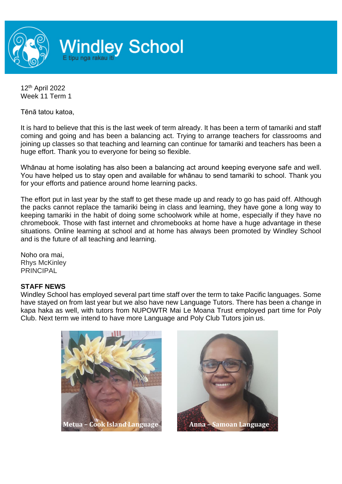

12 th April 2022 Week 11 Term 1

Tēnā tatou katoa,

It is hard to believe that this is the last week of term already. It has been a term of tamariki and staff coming and going and has been a balancing act. Trying to arrange teachers for classrooms and joining up classes so that teaching and learning can continue for tamariki and teachers has been a huge effort. Thank you to everyone for being so flexible.

Whānau at home isolating has also been a balancing act around keeping everyone safe and well. You have helped us to stay open and available for whānau to send tamariki to school. Thank you for your efforts and patience around home learning packs.

The effort put in last year by the staff to get these made up and ready to go has paid off. Although the packs cannot replace the tamariki being in class and learning, they have gone a long way to keeping tamariki in the habit of doing some schoolwork while at home, especially if they have no chromebook. Those with fast internet and chromebooks at home have a huge advantage in these situations. Online learning at school and at home has always been promoted by Windley School and is the future of all teaching and learning.

Noho ora mai, Rhys McKinley PRINCIPAL

### **STAFF NEWS**

Windley School has employed several part time staff over the term to take Pacific languages. Some have stayed on from last year but we also have new Language Tutors. There has been a change in kapa haka as well, with tutors from NUPOWTR Mai Le Moana Trust employed part time for Poly Club. Next term we intend to have more Language and Poly Club Tutors join us.